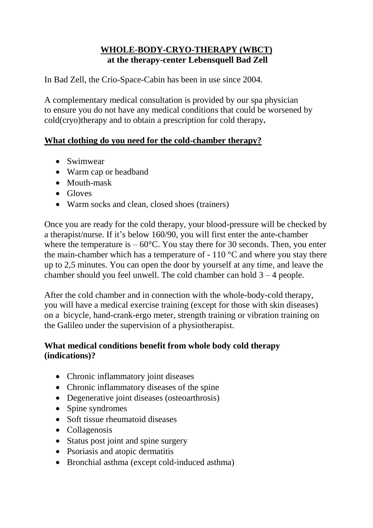## **WHOLE-BODY-CRYO-THERAPY (WBCT) at the therapy-center Lebensquell Bad Zell**

In Bad Zell, the Crio-Space-Cabin has been in use since 2004.

A complementary medical consultation is provided by our spa physician to ensure you do not have any medical conditions that could be worsened by cold(cryo)therapy and to obtain a prescription for cold therapy**.**

## **What clothing do you need for the cold-chamber therapy?**

- Swimwear
- Warm cap or headband
- Mouth-mask
- Gloves
- Warm socks and clean, closed shoes (trainers)

Once you are ready for the cold therapy, your blood-pressure will be checked by a therapist/nurse. If it's below 160/90, you will first enter the ante-chamber where the temperature is  $-60^{\circ}$ C. You stay there for 30 seconds. Then, you enter the main-chamber which has a temperature of  $-110\degree C$  and where you stay there up to 2,5 minutes. You can open the door by yourself at any time, and leave the chamber should you feel unwell. The cold chamber can hold  $3 - 4$  people.

After the cold chamber and in connection with the whole-body-cold therapy, you will have a medical exercise training (except for those with skin diseases) on a bicycle, hand-crank-ergo meter, strength training or vibration training on the Galileo under the supervision of a physiotherapist.

## **What medical conditions benefit from whole body cold therapy (indications)?**

- Chronic inflammatory joint diseases
- Chronic inflammatory diseases of the spine
- Degenerative joint diseases (osteoarthrosis)
- Spine syndromes
- Soft tissue rheumatoid diseases
- Collagenosis
- Status post joint and spine surgery
- Psoriasis and atopic dermatitis
- Bronchial asthma (except cold-induced asthma)